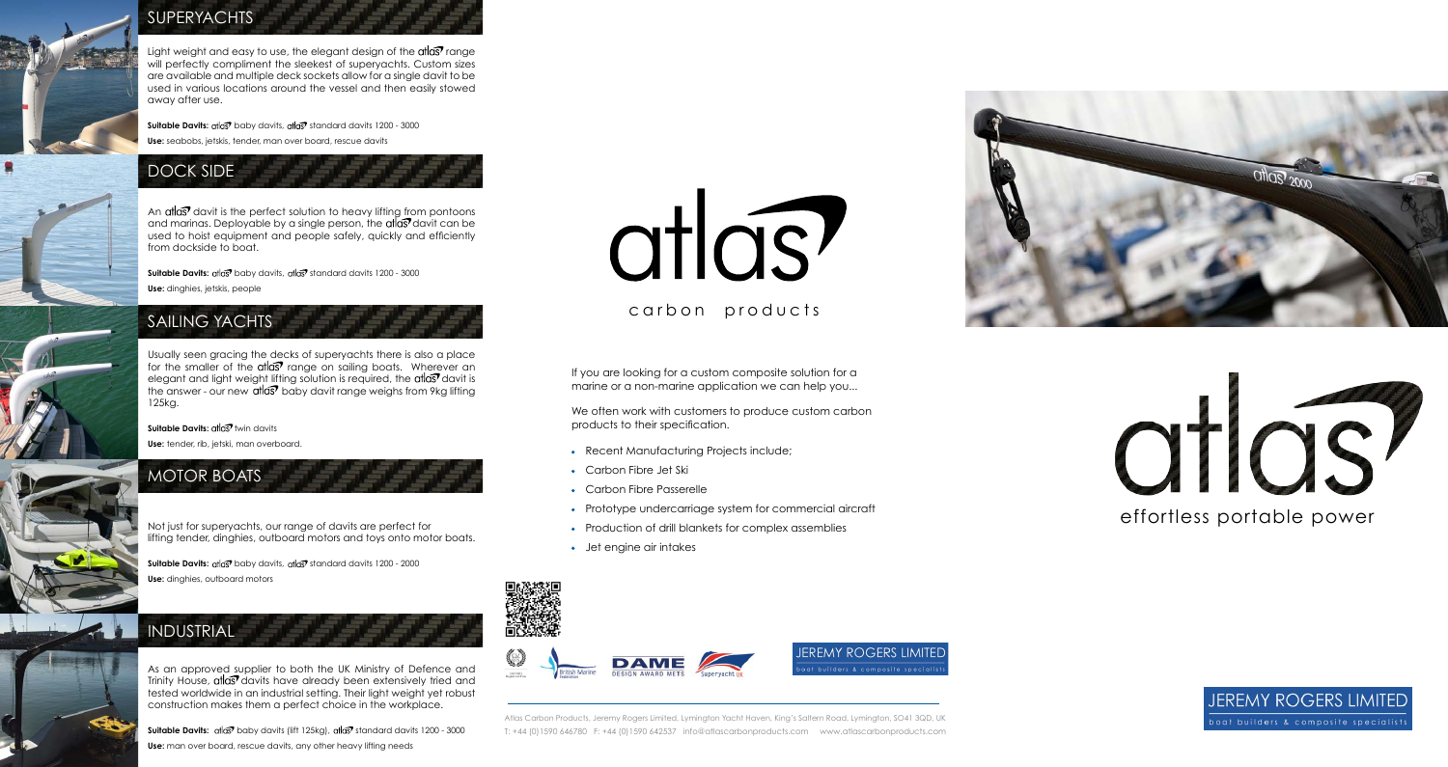

#### **SUPERYACHTS**

## atios effortless portable power



**JEREMY ROGERS LIMITED** boat builders & composite specialists

#### carbon products

Atlas Carbon Products, Jeremy Rogers Limited, Lymington Yacht Haven, King's Saltern Road, Lymington, SO41 3QD, UK T: +44 (0)1590 646780 F: +44 (0)1590 642537 info@atlascarbonproducts.com www.atlascarbonproducts.com



Light weight and easy to use, the elegant design of the  $\alpha$ t $\alpha$ s $\sigma$  range will perfectly compliment the sleekest of superyachts. Custom sizes are available and multiple deck sockets allow for a single davit to be used in various locations around the vessel and then easily stowed away after use.

**Suitable Davits:** atlas<sup>7</sup> baby davits, atlas<sup>7</sup> standard davits 1200 - 3000 **Use:** seabobs, jetskis, tender, man over board, rescue davits

An  $\alpha$ t davit is the perfect solution to heavy lifting from pontoons and marinas. Deployable by a single person, the  $\alpha$ tar davit can be used to hoist equipment and people safely, quickly and efficiently from dockside to boat.

**Suitable Davits:** at a baby davits, at a standard davits 1200 - 3000 **Use:** dinghies, jetskis, people

**Suitable Davits:** atlas<sup>7</sup> baby davits, atlas<sup>7</sup> standard davits 1200 - 2000 **Use:** dinghies, outboard motors

Usually seen gracing the decks of superyachts there is also a place for the smaller of the atlast range on sailing boats. Wherever an elegant and light weight lifting solution is required, the atlast davit is the answer - our new atlas<sup>7</sup> baby davit range weighs from 9kg lifting 125kg.

**Suitable Davits: at all of twin davits** 

**Use:** tender, rib, jetski, man overboard.

Not just for superyachts, our range of davits are perfect for lifting tender, dinghies, outboard motors and toys onto motor boats.

As an approved supplier to both the UK Ministry of Defence and Trinity House, at as davits have already been extensively tried and tested worldwide in an industrial setting. Their light weight yet robust construction makes them a perfect choice in the workplace.

**Suitable Davits:** atlas<sup>7</sup> baby davits (lift 125kg), atlas<sup>7</sup> standard davits 1200 - 3000 Use: man over board, rescue davits, any other heavy lifting needs

# atlas?

If you are looking for a custom composite solution for a marine or a non-marine application we can help you...

We often work with customers to produce custom carbon products to their specification.

- Recent Manufacturing Projects include;
- Carbon Fibre Jet Ski
- Carbon Fibre Passerelle
- Prototype undercarriage system for commercial aircraft
- Production of drill blankets for complex assemblies
- Jet engine air intakes









#### SAILING YACHTS



#### INDUSTRIAL